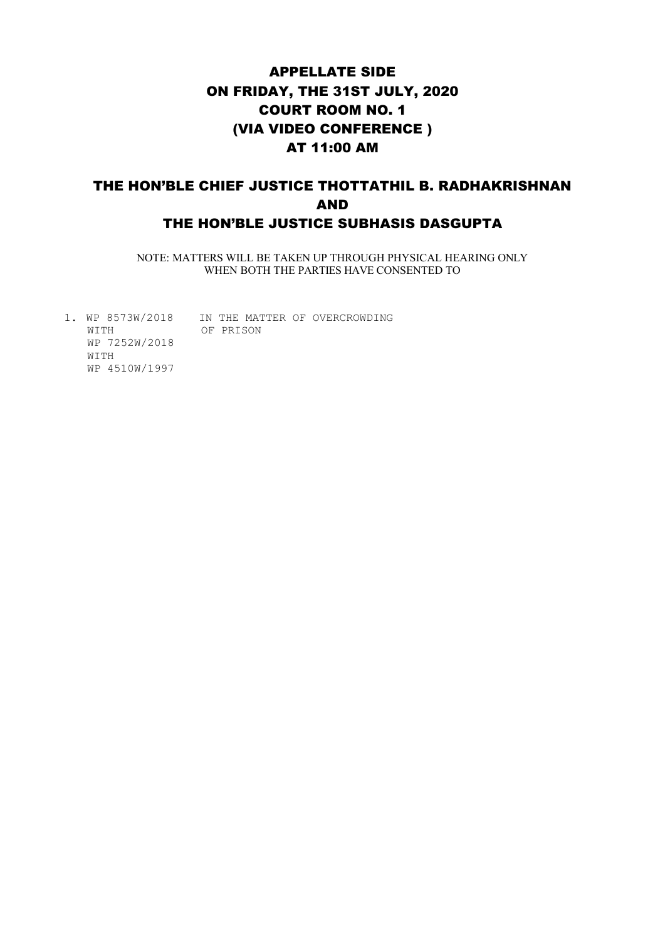# APPELLATE SIDE ON FRIDAY, THE 31ST JULY, 2020 COURT ROOM NO. 1 (VIA VIDEO CONFERENCE ) AT 11:00 AM

## THE HON'BLE CHIEF JUSTICE THOTTATHIL B. RADHAKRISHNAN AND THE HON'BLE JUSTICE SUBHASIS DASGUPTA

NOTE: MATTERS WILL BE TAKEN UP THROUGH PHYSICAL HEARING ONLY WHEN BOTH THE PARTIES HAVE CONSENTED TO

1. WP 8573W/2018 IN THE MATTER OF OVERCROWDING WITH OF PRISON WP 7252W/2018 WITH WP 4510W/1997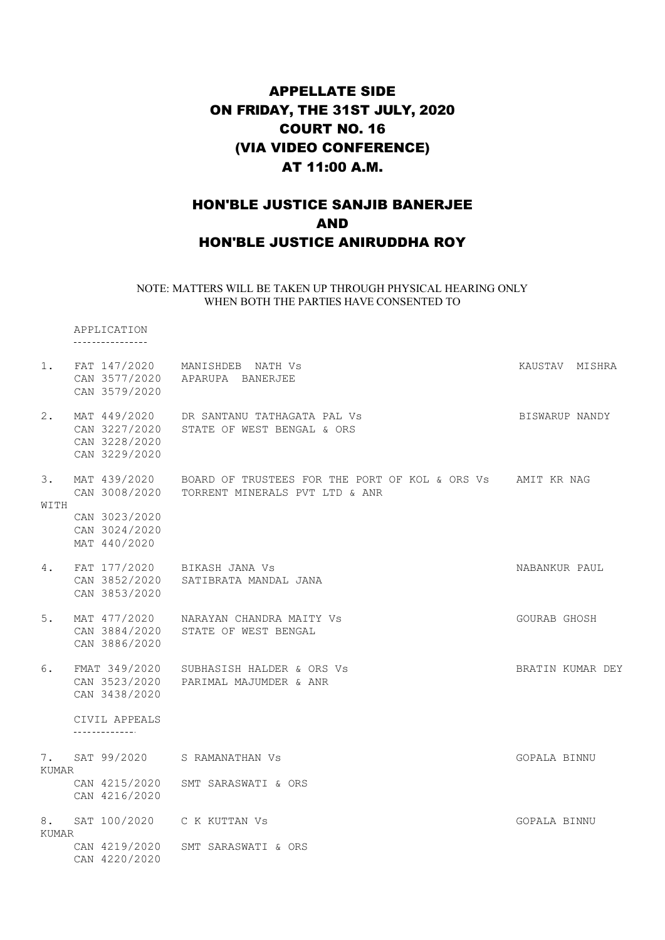# APPELLATE SIDE ON FRIDAY, THE 31ST JULY, 2020 COURT NO. 16 (VIA VIDEO CONFERENCE) AT 11:00 A.M.

### HON'BLE JUSTICE SANJIB BANERJEE AND HON'BLE JUSTICE ANIRUDDHA ROY

#### NOTE: MATTERS WILL BE TAKEN UP THROUGH PHYSICAL HEARING ONLY WHEN BOTH THE PARTIES HAVE CONSENTED TO

APPLICATION

| 1.          | CAN 3579/2020                                   | FAT 147/2020 MANISHDEB NATH Vs<br>CAN 3577/2020 APARUPA BANERJEE                                                        | KAUSTAV MISHRA   |  |
|-------------|-------------------------------------------------|-------------------------------------------------------------------------------------------------------------------------|------------------|--|
| 2.          | CAN 3227/2020<br>CAN 3228/2020<br>CAN 3229/2020 | MAT 449/2020 DR SANTANU TATHAGATA PAL VS<br>STATE OF WEST BENGAL & ORS                                                  | BISWARUP NANDY   |  |
| 3.<br>WITH  |                                                 | MAT 439/2020 BOARD OF TRUSTEES FOR THE PORT OF KOL & ORS Vs AMIT KR NAG<br>CAN 3008/2020 TORRENT MINERALS PVT LTD & ANR |                  |  |
|             | CAN 3023/2020<br>CAN 3024/2020<br>MAT 440/2020  |                                                                                                                         |                  |  |
| 4.          | CAN 3853/2020                                   | FAT 177/2020 BIKASH JANA Vs<br>CAN 3852/2020 SATIBRATA MANDAL JANA                                                      | NABANKUR PAUL    |  |
| 5.          | CAN 3886/2020                                   | MAT 477/2020 NARAYAN CHANDRA MAITY Vs<br>CAN 3884/2020 STATE OF WEST BENGAL                                             | GOURAB GHOSH     |  |
| 6.          | CAN 3438/2020                                   | FMAT 349/2020 SUBHASISH HALDER & ORS Vs<br>CAN 3523/2020 PARIMAL MAJUMDER & ANR                                         | BRATIN KUMAR DEY |  |
|             | CIVIL APPEALS<br>--------------                 |                                                                                                                         |                  |  |
| 7.<br>KUMAR |                                                 | SAT 99/2020 S RAMANATHAN VS                                                                                             | GOPALA BINNU     |  |
|             | CAN 4215/2020<br>CAN 4216/2020                  | SMT SARASWATI & ORS                                                                                                     |                  |  |
| KUMAR       |                                                 | 8. SAT 100/2020 C K KUTTAN Vs                                                                                           | GOPALA BINNU     |  |
|             | CAN 4219/2020<br>CAN 4220/2020                  | SMT SARASWATI & ORS                                                                                                     |                  |  |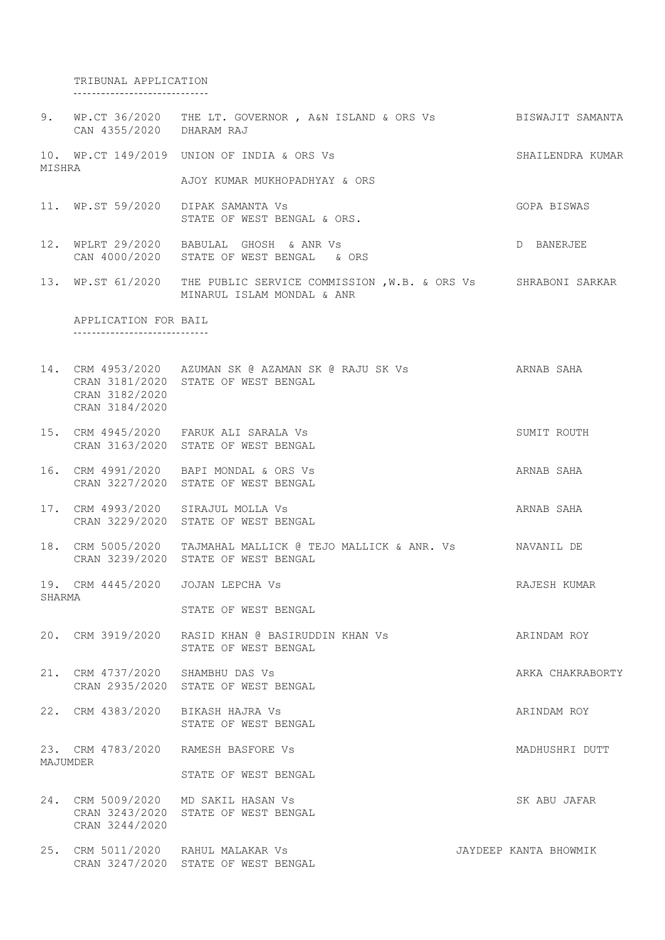TRIBUNAL APPLICATION

|        | CAN 4355/2020 DHARAM RAJ                                | 9. WP.CT 36/2020 THE LT. GOVERNOR, A&N ISLAND & ORS Vs BISWAJIT SAMANTA                                       |                       |
|--------|---------------------------------------------------------|---------------------------------------------------------------------------------------------------------------|-----------------------|
| MISHRA |                                                         | 10. WP.CT 149/2019 UNION OF INDIA & ORS Vs                                                                    | SHAILENDRA KUMAR      |
|        |                                                         | AJOY KUMAR MUKHOPADHYAY & ORS                                                                                 |                       |
|        |                                                         | 11. WP.ST 59/2020 DIPAK SAMANTA Vs<br>STATE OF WEST BENGAL & ORS.                                             | GOPA BISWAS           |
|        |                                                         | 12. WPLRT 29/2020 BABULAL GHOSH & ANR Vs<br>CAN 4000/2020 STATE OF WEST BENGAL & ORS                          | D BANERJEE            |
|        |                                                         | 13. WP.ST 61/2020 THE PUBLIC SERVICE COMMISSION , W.B. & ORS Vs SHRABONI SARKAR<br>MINARUL ISLAM MONDAL & ANR |                       |
|        | APPLICATION FOR BAIL<br>------------------------------- |                                                                                                               |                       |
|        | CRAN 3182/2020<br>CRAN 3184/2020                        | 14. CRM 4953/2020 AZUMAN SK @ AZAMAN SK @ RAJU SK Vs ARNAB SAHA<br>CRAN 3181/2020 STATE OF WEST BENGAL        |                       |
|        |                                                         | 15. CRM 4945/2020 FARUK ALI SARALA Vs<br>CRAN 3163/2020 STATE OF WEST BENGAL                                  | SUMIT ROUTH           |
|        |                                                         | 16. CRM 4991/2020 BAPI MONDAL & ORS Vs<br>CRAN 3227/2020 STATE OF WEST BENGAL                                 | ARNAB SAHA            |
|        |                                                         | 17. CRM 4993/2020 SIRAJUL MOLLA Vs<br>CRAN 3229/2020 STATE OF WEST BENGAL                                     | ARNAB SAHA            |
|        |                                                         | 18. CRM 5005/2020 TAJMAHAL MALLICK @ TEJO MALLICK & ANR. Vs MAVANIL DE<br>CRAN 3239/2020 STATE OF WEST BENGAL |                       |
| SHARMA |                                                         | 19. CRM 4445/2020 JOJAN LEPCHA Vs                                                                             | RAJESH KUMAR          |
|        |                                                         | STATE OF WEST BENGAL                                                                                          |                       |
|        |                                                         | 20. CRM 3919/2020 RASID KHAN @ BASIRUDDIN KHAN Vs<br>STATE OF WEST BENGAL                                     | ARINDAM ROY           |
|        | 21. CRM 4737/2020 SHAMBHU DAS Vs                        | CRAN 2935/2020 STATE OF WEST BENGAL                                                                           | ARKA CHAKRABORTY      |
|        |                                                         | 22. CRM 4383/2020 BIKASH HAJRA Vs<br>STATE OF WEST BENGAL                                                     | ARINDAM ROY           |
|        | MAJUMDER                                                | 23. CRM 4783/2020 RAMESH BASFORE Vs                                                                           | MADHUSHRI DUTT        |
|        |                                                         | STATE OF WEST BENGAL                                                                                          |                       |
|        | CRAN 3244/2020                                          | 24. CRM 5009/2020 MD SAKIL HASAN Vs<br>CRAN 3243/2020 STATE OF WEST BENGAL                                    | SK ABU JAFAR          |
|        |                                                         | 25. CRM 5011/2020 RAHUL MALAKAR Vs<br>CRAN 3247/2020 STATE OF WEST BENGAL                                     | JAYDEEP KANTA BHOWMIK |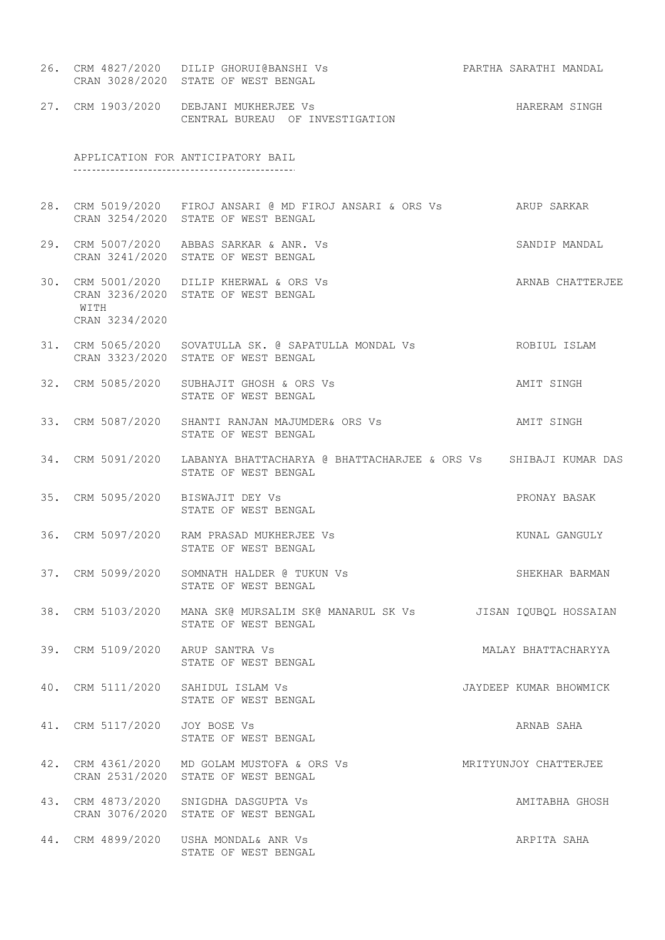- 26. CRM 4827/2020 DILIP GHORUI@BANSHI Vs PARTHA SARATHI MANDAL CRAN 3028/2020 STATE OF WEST BENGAL
- 27. CRM 1903/2020 DEBJANI MUKHERJEE Vs Sandbook Care and HARERAM SINGH CENTRAL BUREAU OF INVESTIGATION

APPLICATION FOR ANTICIPATORY BAIL 

- 28. CRM 5019/2020 FIROJ ANSARI @ MD FIROJ ANSARI & ORS Vs ARUP SARKAR CRAN 3254/2020 STATE OF WEST BENGAL
- 29. CRM 5007/2020 ABBAS SARKAR & ANR. Vs SANDIP MANDAL CRAN 3241/2020 STATE OF WEST BENGAL
- 30. CRM 5001/2020 DILIP KHERWAL & ORS Vs ARNAB CHATTERJEE CRAN 3236/2020 STATE OF WEST BENGAL WITH CRAN 3234/2020
- 31. CRM 5065/2020 SOVATULLA SK. @ SAPATULLA MONDAL Vs ROBIUL ISLAM CRAN 3323/2020 STATE OF WEST BENGAL
- 32. CRM 5085/2020 SUBHAJIT GHOSH & ORS Vs AMIT SINGH STATE OF WEST BENGAL
- 33. CRM 5087/2020 SHANTI RANJAN MAJUMDER& ORS Vs AMIT SINGH STATE OF WEST BENGAL
- 34. CRM 5091/2020 LABANYA BHATTACHARYA @ BHATTACHARJEE & ORS Vs SHIBAJI KUMAR DAS STATE OF WEST BENGAL
- 35. CRM 5095/2020 BISWAJIT DEY Vs PRONAY BASAK STATE OF WEST BENGAL
- 36. CRM 5097/2020 RAM PRASAD MUKHERJEE Vs Sand Control of Municipal KUNAL GANGULY STATE OF WEST BENGAL
- 37. CRM 5099/2020 SOMNATH HALDER @ TUKUN Vs SHEKHAR BARMAN STATE OF WEST BENGAL
- 38. CRM 5103/2020 MANA SK@ MURSALIM SK@ MANARUL SK Vs JISAN IQUBQL HOSSAIAN STATE OF WEST BENGAL
- 39. CRM 5109/2020 ARUP SANTRA Vs **MALAY BHATTACHARYYA** STATE OF WEST BENGAL
- 40. CRM 5111/2020 SAHIDUL ISLAM Vs JAYDEEP KUMAR BHOWMICK STATE OF WEST BENGAL
- 41. CRM 5117/2020 JOY BOSE Vs ARNAB SAHA STATE OF WEST BENGAL

42. CRM 4361/2020 MD GOLAM MUSTOFA & ORS Vs MRITYUNJOY CHATTERJEE CRAN 2531/2020 STATE OF WEST BENGAL 43. CRM 4873/2020 SNIGDHA DASGUPTA Vs AMITABHA GHOSH CRAN 3076/2020 STATE OF WEST BENGAL

44. CRM 4899/2020 USHA MONDAL& ANR Vs ARPITA SAHA STATE OF WEST BENGAL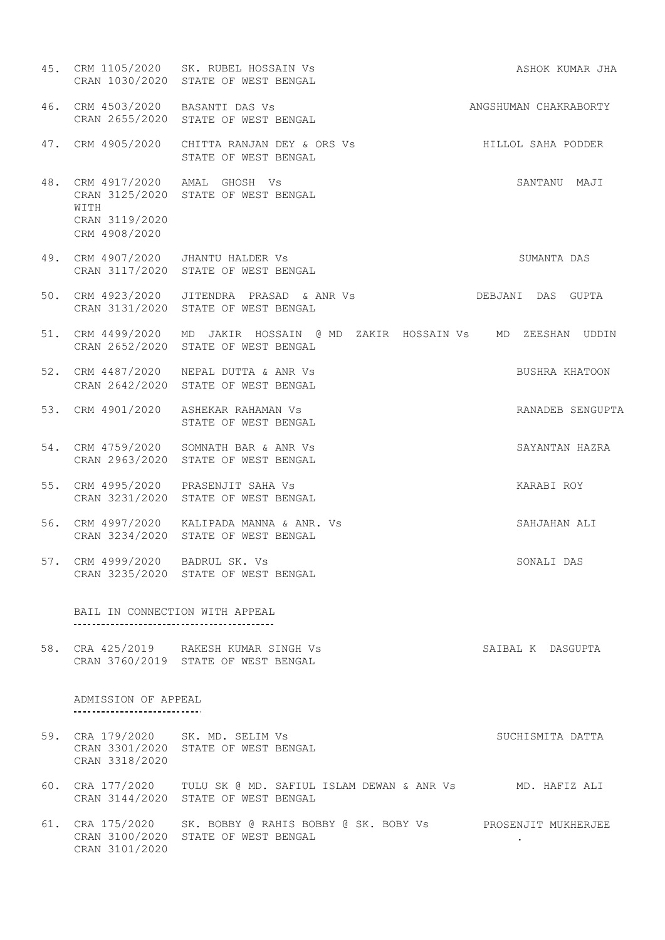45. CRM 1105/2020 SK. RUBEL HOSSAIN Vs ASHOK KUMAR JHA CRAN 1030/2020 STATE OF WEST BENGAL ANGSHUMAN CHAKRABORTY 46. CRM 4503/2020 BASANTI DAS Vs CRAN 2655/2020 STATE OF WEST BENGAL 47. CRM 4905/2020 CHITTA RANJAN DEY & ORS Vs HILLOL SAHA PODDER STATE OF WEST BENGAL 48. CRM 4917/2020 AMAL GHOSH Vs SANTANU MAJI CRAN 3125/2020 STATE OF WEST BENGAL WITH CRAN 3119/2020 CRM 4908/2020 49. CRM 4907/2020 JHANTU HALDER Vs SUMANTA DAS CRAN 3117/2020 STATE OF WEST BENGAL 50. CRM 4923/2020 JITENDRA PRASAD & ANR Vs DEBJANI DAS GUPTA CRAN 3131/2020 STATE OF WEST BENGAL 51. CRM 4499/2020 MD JAKIR HOSSAIN @ MD ZAKIR HOSSAIN Vs MD ZEESHAN UDDIN CRAN 2652/2020 STATE OF WEST BENGAL 52. CRM 4487/2020 NEPAL DUTTA & ANR Vs BUSHRA KHATOON CRAN 2642/2020 STATE OF WEST BENGAL 53. CRM 4901/2020 ASHEKAR RAHAMAN Vs RANADEB SENGUPTA STATE OF WEST BENGAL 54. CRM 4759/2020 SOMNATH BAR & ANR Vs SAYANTAN HAZRA CRAN 2963/2020 STATE OF WEST BENGAL KARABI ROY 55. CRM 4995/2020 PRASENJIT SAHA Vs CRAN 3231/2020 STATE OF WEST BENGAL SAHJAHAN ALI 56. CRM 4997/2020 KALIPADA MANNA & ANR. CRAN 3234/2020 STATE OF WEST BENGAL SONALI DAS 57. CRM 4999/2020 BADRUL SK. Vs CRAN 3235/2020 STATE OF WEST BENGAL BAIL IN CONNECTION WITH APPEAL 58. CRA 425/2019 RAKESH KUMAR SINGH Vs SAIBAL K DASGUPTA CRAN 3760/2019 STATE OF WEST BENGAL ADMISSION OF APPEAL ----------------------------59. CRA 179/2020 SK. MD. SELIM Vs SUCHISMITA DATTA CRAN 3301/2020 STATE OF WEST BENGAL CRAN 3318/2020 60. CRA 177/2020 TULU SK @ MD. SAFIUL ISLAM DEWAN & ANR Vs MD. HAFIZ ALI CRAN 3144/2020 STATE OF WEST BENGAL 61. CRA 175/2020 SK. BOBBY @ RAHIS BOBBY @ SK. BOBY Vs PROSENJIT MUKHERJEE CRAN 3100/2020 STATE OF WEST BENGAL .CRAN 3101/2020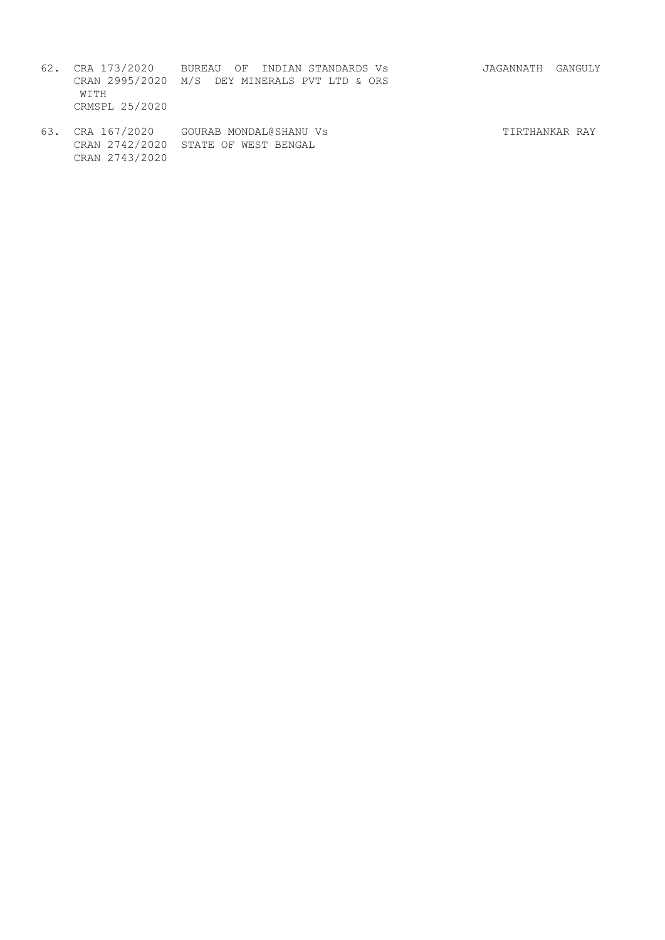- 62. CRA 173/2020 BUREAU OF INDIAN STANDARDS Vs JAGANNATH GANGULY CRAN 2995/2020 M/S DEY MINERALS PVT LTD & ORS WITH CRMSPL 25/2020
	- 63. CRA 167/2020 GOURAB MONDAL@SHANU Vs TIRTHANKAR RAY CRAN 2742/2020 STATE OF WEST BENGAL CRAN 2743/2020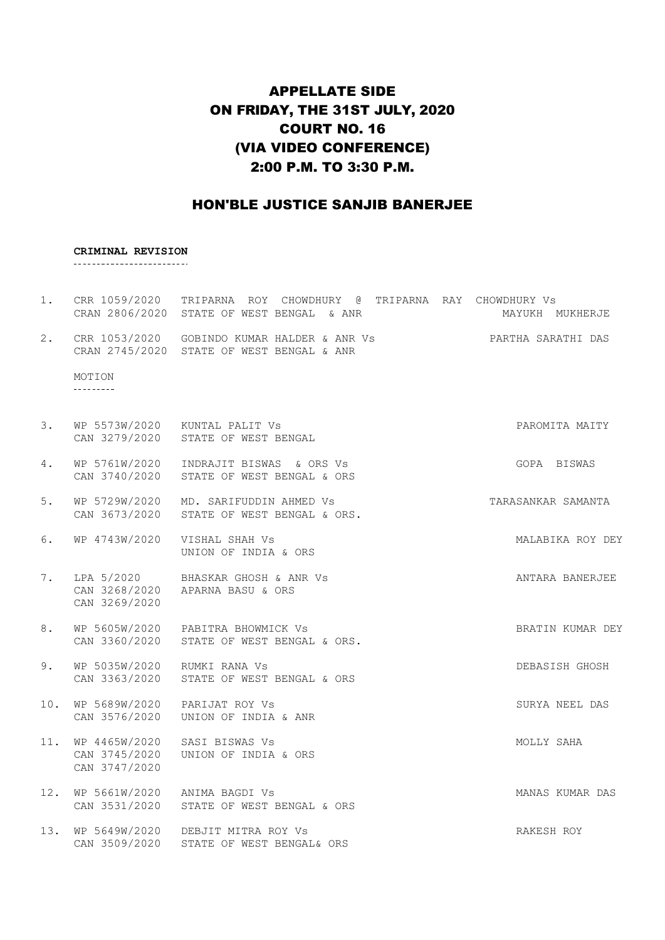### APPELLATE SIDE ON FRIDAY, THE 31ST JULY, 2020 COURT NO. 16 (VIA VIDEO CONFERENCE) 2:00 P.M. TO 3:30 P.M.

### HON'BLE JUSTICE SANJIB BANERJEE

#### **CRIMINAL REVISION**

-------------------------

- 1. CRR 1059/2020 TRIPARNA ROY CHOWDHURY @ TRIPARNA RAY CHOWDHURY Vs CRAN 2806/2020 STATE OF WEST BENGAL & ANR MAYUKH MUKHERJE 2. CRR 1053/2020 GOBINDO KUMAR HALDER & ANR Vs PARTHA SARATHI DAS CRAN 2745/2020 STATE OF WEST BENGAL & ANR MOTION ----------
- 3. WP 5573W/2020 KUNTAL PALIT Vs PAROMITA MAITY CAN 3279/2020 STATE OF WEST BENGAL 4. WP 5761W/2020 INDRAJIT BISWAS & ORS Vs The COPA BISWAS CAN 3740/2020 STATE OF WEST BENGAL & ORS
- 5. WP 5729W/2020 MD. SARIFUDDIN AHMED Vs TARASANKAR SAMANTA CAN 3673/2020 STATE OF WEST BENGAL & ORS.
- 6. WP 4743W/2020 VISHAL SHAH Vs **MALABIKA ROY DEY** UNION OF INDIA & ORS
- 7. LPA 5/2020 BHASKAR GHOSH & ANR Vs ANTARA BANERJEE CAN 3268/2020 APARNA BASU & ORS CAN 3269/2020
- 8. WP 5605W/2020 PABITRA BHOWMICK Vs SALL BRATIN KUMAR DEY CAN 3360/2020 STATE OF WEST BENGAL & ORS.
- 9. WP 5035W/2020 RUMKI RANA Vs Sand Control of the DEBASISH GHOSH CAN 3363/2020 STATE OF WEST BENGAL & ORS
- 10. WP 5689W/2020 PARIJAT ROY Vs SURYA NEEL DAS CAN 3576/2020 UNION OF INDIA & ANR
- 11. WP 4465W/2020 SASI BISWAS Vs **MOLLY SAHA** CAN 3745/2020 UNION OF INDIA & ORS CAN 3747/2020
- 12. WP 5661W/2020 ANIMA BAGDI Vs MANAS KUMAR DAS CAN 3531/2020 STATE OF WEST BENGAL & ORS
- 13. WP 5649W/2020 DEBJIT MITRA ROY Vs RAKESH ROY CAN 3509/2020 STATE OF WEST BENGAL& ORS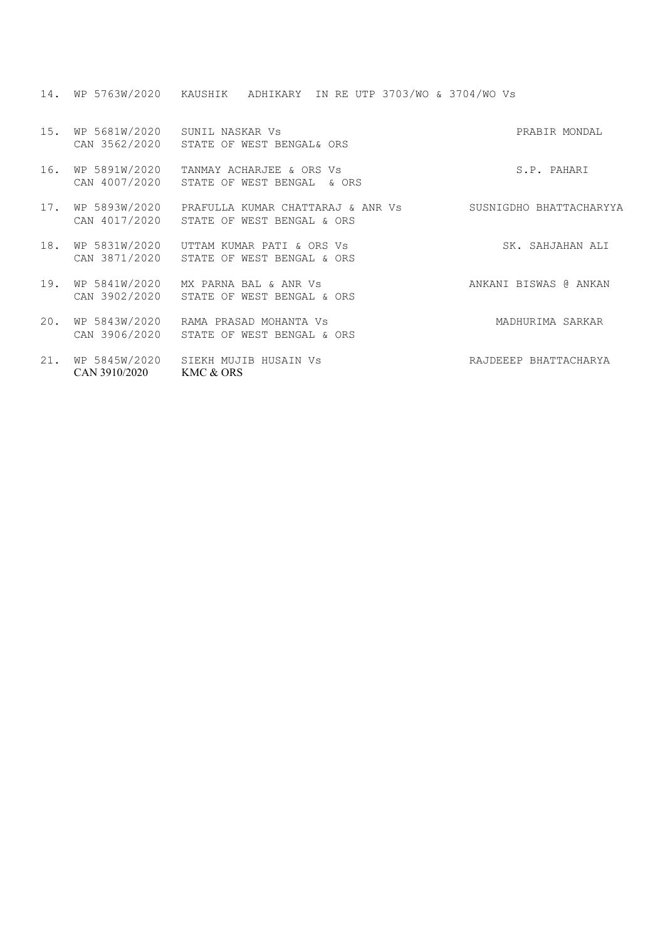14. WP 5763W/2020 KAUSHIK ADHIKARY IN RE UTP 3703/WO & 3704/WO Vs

| 15. | WP 5681W/2020                  | SUNIL NASKAR Vs<br>CAN 3562/2020 STATE OF WEST BENGAL& ORS                                    | PRABIR MONDAL           |
|-----|--------------------------------|-----------------------------------------------------------------------------------------------|-------------------------|
| 16. | WP 5891W/2020                  | TANMAY ACHARJEE & ORS Vs<br>CAN 4007/2020 STATE OF WEST BENGAL & ORS                          | S.P. PAHARI             |
| 17. |                                | WP 5893W/2020   PRAFULLA KUMAR CHATTARAJ & ANR Vs<br>CAN 4017/2020 STATE OF WEST BENGAL & ORS | SUSNIGDHO BHATTACHARYYA |
| 18. | WP 5831W/2020                  | UTTAM KUMAR PATI & ORS VS<br>CAN 3871/2020 STATE OF WEST BENGAL & ORS                         | SK. SAHJAHAN ALI        |
| 19. | WP 5841W/2020                  | MX PARNA BAL & ANR Vs<br>CAN 3902/2020 STATE OF WEST BENGAL & ORS                             | ANKANI BISWAS @ ANKAN   |
| 20. | WP 5843W/2020                  | RAMA PRASAD MOHANTA VS<br>CAN 3906/2020 STATE OF WEST BENGAL & ORS                            | MADHURIMA SARKAR        |
| 21. | WP 5845W/2020<br>CAN 3910/2020 | SIEKH MUJIB HUSAIN Vs<br>KMC & ORS                                                            | RAJDEEEP BHATTACHARYA   |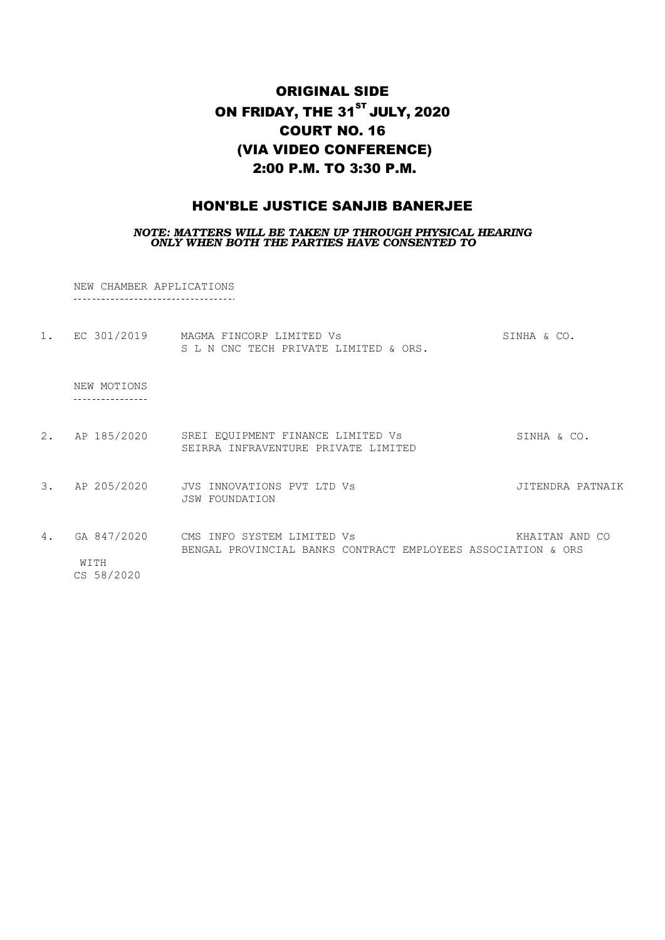# ORIGINAL SIDE ON FRIDAY, THE  $31<sup>ST</sup>$  JULY, 2020 COURT NO. 16 (VIA VIDEO CONFERENCE) 2:00 P.M. TO 3:30 P.M.

### HON'BLE JUSTICE SANJIB BANERJEE

*NOTE: MATTERS WILL BE TAKEN UP THROUGH PHYSICAL HEARING ONLY WHEN BOTH THE PARTIES HAVE CONSENTED TO*

NEW CHAMBER APPLICATIONS

| $1$ . | EC 301/2019                       | MAGMA FINCORP LIMITED Vs<br>S L N CNC TECH PRIVATE LIMITED & ORS.                          | SINHA & CO.      |
|-------|-----------------------------------|--------------------------------------------------------------------------------------------|------------------|
|       | NEW MOTIONS                       |                                                                                            |                  |
| 2.    | AP 185/2020                       | SREI EQUIPMENT FINANCE LIMITED Vs<br>SEIRRA INFRAVENTURE PRIVATE LIMITED                   | SINHA & CO.      |
| 3.    | AP 205/2020                       | JVS INNOVATIONS PVT LTD Vs<br><b>JSW FOUNDATION</b>                                        | JITENDRA PATNAIK |
| 4.    | GA 847/2020<br>WITH<br>CS 58/2020 | CMS INFO SYSTEM LIMITED Vs<br>BENGAL PROVINCIAL BANKS CONTRACT EMPLOYEES ASSOCIATION & ORS | KHAITAN AND CO   |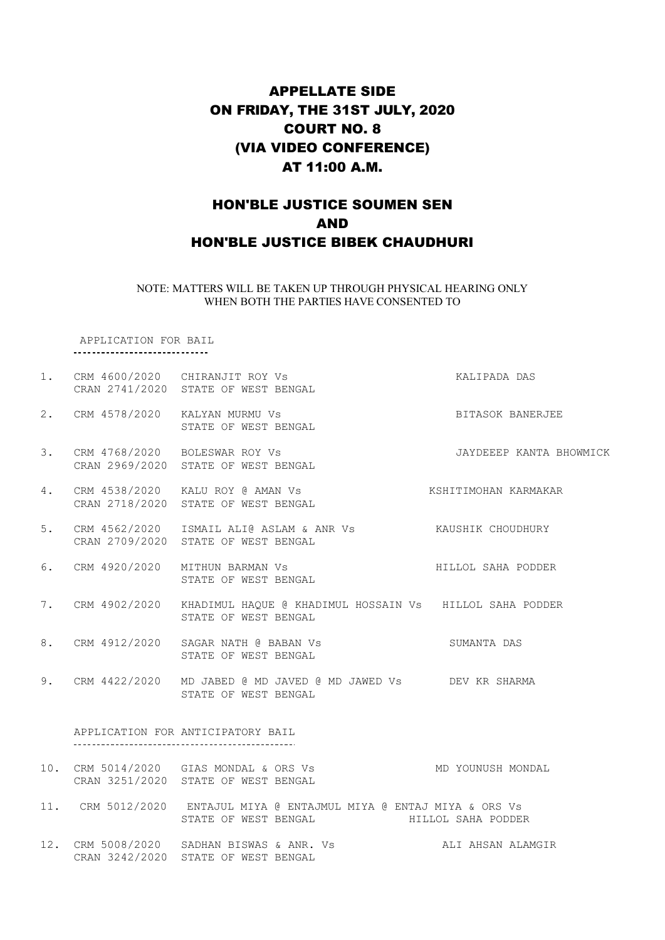# APPELLATE SIDE ON FRIDAY, THE 31ST JULY, 2020 COURT NO. 8 (VIA VIDEO CONFERENCE) AT 11:00 A.M.

### HON'BLE JUSTICE SOUMEN SEN AND HON'BLE JUSTICE BIBEK CHAUDHURI

NOTE: MATTERS WILL BE TAKEN UP THROUGH PHYSICAL HEARING ONLY WHEN BOTH THE PARTIES HAVE CONSENTED TO

APPLICATION FOR BAIL \_\_\_\_\_\_\_\_\_\_\_\_\_\_\_\_\_\_\_\_\_\_\_\_\_\_\_\_\_\_\_\_

|    | 1. CRM 4600/2020 CHIRANJIT ROY Vs<br>CRAN 2741/2020 STATE OF WEST BENGAL                                                          | KALIPADA DAS            |
|----|-----------------------------------------------------------------------------------------------------------------------------------|-------------------------|
|    | 2. CRM 4578/2020 KALYAN MURMU Vs<br>STATE OF WEST BENGAL                                                                          | BITASOK BANERJEE        |
|    | 3. CRM 4768/2020 BOLESWAR ROY Vs<br>CRAN 2969/2020 STATE OF WEST BENGAL                                                           | JAYDEEEP KANTA BHOWMICK |
| 4. | CRAN 2718/2020 STATE OF WEST BENGAL                                                                                               |                         |
| 5. | CRM 4562/2020 ISMAIL ALI@ ASLAM & ANR Vs KAUSHIK CHOUDHURY<br>CRAN 2709/2020 STATE OF WEST BENGAL                                 |                         |
|    | 6. CRM 4920/2020 MITHUN BARMAN Vs<br>STATE OF WEST BENGAL                                                                         | HILLOL SAHA PODDER      |
|    | 7. CRM 4902/2020 KHADIMUL HAQUE @ KHADIMUL HOSSAIN Vs HILLOL SAHA PODDER<br>STATE OF WEST BENGAL                                  |                         |
|    | 8. CRM 4912/2020 SAGAR NATH @ BABAN Vs<br>STATE OF WEST BENGAL                                                                    | SUMANTA DAS             |
|    | 9. CRM 4422/2020 MD JABED @ MD JAVED @ MD JAWED Vs DEV KR SHARMA<br>STATE OF WEST BENGAL                                          |                         |
|    | APPLICATION FOR ANTICIPATORY BAIL                                                                                                 |                         |
|    | 10. CRM 5014/2020 GIAS MONDAL & ORS Vs<br>CRAN 3251/2020 STATE OF WEST BENGAL                                                     | MD YOUNUSH MONDAL       |
|    | 11. CRM 5012/2020 ENTAJUL MIYA @ ENTAJMUL MIYA @ ENTAJ MIYA & ORS Vs<br>STATE OF WEST BENGAL <b>ALL ASSESS</b> HILLOL SAHA PODDER |                         |
|    | 12. CRM 5008/2020 SADHAN BISWAS & ANR. Vs ALI AHSAN ALAMGIR<br>CRAN 3242/2020 STATE OF WEST BENGAL                                |                         |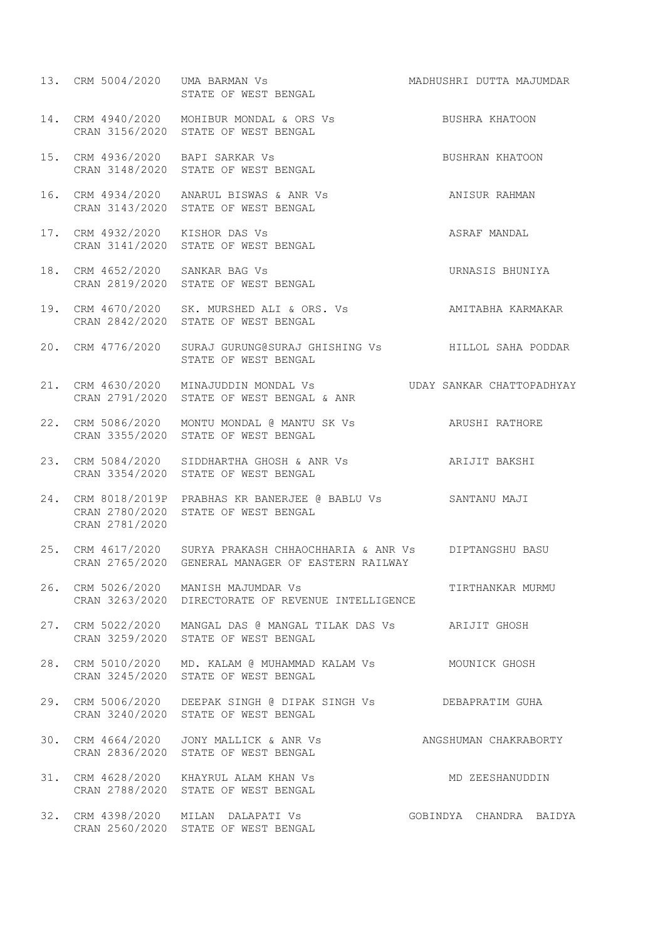|                                 | 13. CRM 5004/2020 UMA BARMAN Vs NADHUSHRI DUTTA MAJUMDAR<br>STATE OF WEST BENGAL                                           |                         |
|---------------------------------|----------------------------------------------------------------------------------------------------------------------------|-------------------------|
|                                 | 14. CRM 4940/2020 MOHIBUR MONDAL & ORS Vs BUSHRA KHATOON<br>CRAN 3156/2020 STATE OF WEST BENGAL                            |                         |
|                                 | 15. CRM 4936/2020 BAPI SARKAR VS<br>CRAN 3148/2020 STATE OF WEST BENGAL<br>CRAN 3148/2020 STATE OF WEST BENGAL             |                         |
|                                 | 16. CRM 4934/2020 ANARUL BISWAS & ANR Vs<br>CRAN 3143/2020 STATE OF WEST BENGAL                                            | ANISUR RAHMAN           |
|                                 | 17. CRM 4932/2020 KISHOR DAS Vs<br>CRAN 3141/2020 STATE OF WEST BENGAL                                                     | ASRAF MANDAL            |
| 18. CRM 4652/2020 SANKAR BAG Vs | CRAN 2819/2020 STATE OF WEST BENGAL                                                                                        | URNASIS BHUNIYA         |
|                                 | 19. CRM 4670/2020 SK. MURSHED ALI & ORS. Vs AMITABHA KARMAKAR<br>CRAN 2842/2020 STATE OF WEST BENGAL                       |                         |
|                                 | 20. CRM 4776/2020 SURAJ GURUNG@SURAJ GHISHING Vs BILLOL SAHA PODDAR<br>STATE OF WEST BENGAL                                |                         |
|                                 | 21. CRM 4630/2020 MINAJUDDIN MONDAL Vs  VDAY SANKAR CHATTOPADHYAY<br>CRAN 2791/2020 STATE OF WEST BENGAL & ANR             |                         |
|                                 | 22. CRM 5086/2020 MONTU MONDAL @ MANTU SK Vs ARUSHI RATHORE<br>CRAN 3355/2020 STATE OF WEST BENGAL                         |                         |
|                                 | 23. CRM 5084/2020 SIDDHARTHA GHOSH & ANR Vs ARIJIT BAKSHI<br>CRAN 3354/2020 STATE OF WEST BENGAL                           |                         |
| CRAN 2781/2020                  | 24. CRM 8018/2019P PRABHAS KR BANERJEE @ BABLU Vs SANTANU MAJI<br>CRAN 2780/2020 STATE OF WEST BENGAL                      |                         |
|                                 | 25. CRM 4617/2020 SURYA PRAKASH CHHAOCHHARIA & ANR Vs DIPTANGSHU BASU<br>CRAN 2765/2020 GENERAL MANAGER OF EASTERN RAILWAY |                         |
|                                 | 26. CRM 5026/2020 MANISH MAJUMDAR Vs<br>CRAN 3263/2020 DIRECTORATE OF REVENUE INTELLIGENCE                                 | TIRTHANKAR MURMU        |
|                                 | 27. CRM 5022/2020 MANGAL DAS @ MANGAL TILAK DAS Vs ARIJIT GHOSH<br>CRAN 3259/2020 STATE OF WEST BENGAL                     |                         |
|                                 | 28. CRM 5010/2020 MD. KALAM @ MUHAMMAD KALAM Vs MOUNICK GHOSH<br>CRAN 3245/2020 STATE OF WEST BENGAL                       |                         |
|                                 | 29. CRM 5006/2020 DEEPAK SINGH @ DIPAK SINGH Vs DEBAPRATIM GUHA<br>CRAN 3240/2020 STATE OF WEST BENGAL                     |                         |
|                                 | 30. CRM 4664/2020 JONY MALLICK & ANR Vs ANGSHUMAN CHAKRABORTY<br>CRAN 2836/2020 STATE OF WEST BENGAL                       |                         |
|                                 | 31. CRM 4628/2020 KHAYRUL ALAM KHAN Vs<br>CRAN 2788/2020 STATE OF WEST BENGAL                                              | MD ZEESHANUDDIN         |
|                                 | 32. CRM 4398/2020 MILAN DALAPATI Vs<br>CRAN 2560/2020 STATE OF WEST BENGAL                                                 | GOBINDYA CHANDRA BAIDYA |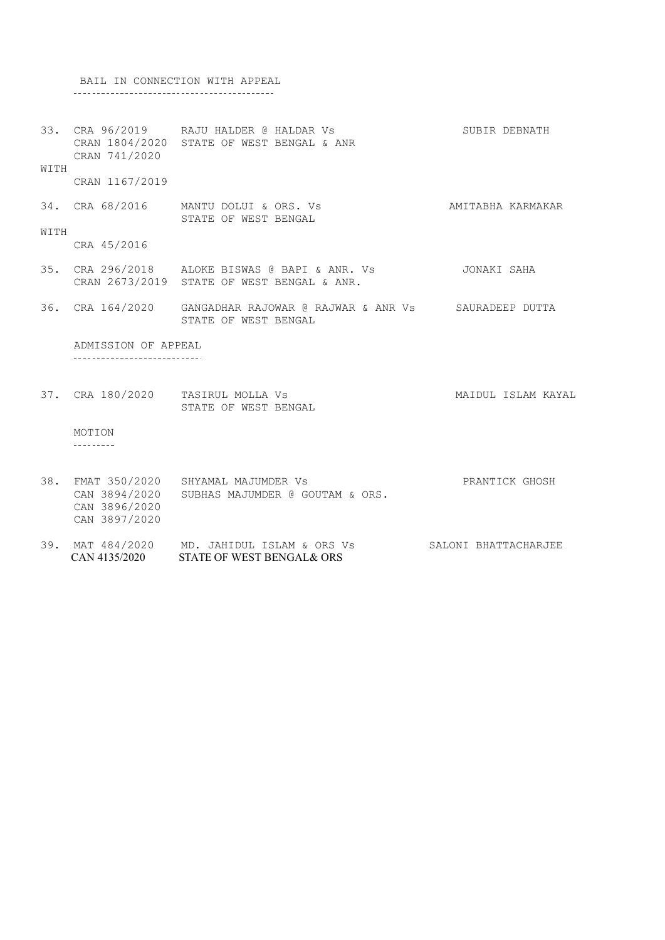BAIL IN CONNECTION WITH APPEAL 

33. CRA 96/2019 RAJU HALDER @ HALDAR Vs SUBIR DEBNATH CRAN 1804/2020 STATE OF WEST BENGAL & ANR CRAN 741/2020 WITH CRAN 1167/2019

34. CRA 68/2016 MANTU DOLUI & ORS. Vs **AMITABHA KARMAKAR** STATE OF WEST BENGAL

CRA 45/2016

WITH

- 35. CRA 296/2018 ALOKE BISWAS @ BAPI & ANR. Vs JONAKI SAHA CRAN 2673/2019 STATE OF WEST BENGAL & ANR.
- 36. CRA 164/2020 GANGADHAR RAJOWAR @ RAJWAR & ANR Vs SAURADEEP DUTTA STATE OF WEST BENGAL

ADMISSION OF APPEAL -----------------------------

37. CRA 180/2020 TASIRUL MOLLA Vs MAIDUL ISLAM KAYAL STATE OF WEST BENGAL

MOTION  $- - - - - - - - -$ 

- 38. FMAT 350/2020 SHYAMAL MAJUMDER Vs PRANTICK GHOSH CAN 3894/2020 SUBHAS MAJUMDER @ GOUTAM & ORS. CAN 3896/2020 CAN 3897/2020
- 39. MAT 484/2020 MD. JAHIDUL ISLAM & ORS Vs SALONI BHATTACHARJEE CAN 4135/2020 STATE OF WEST BENGAL& ORS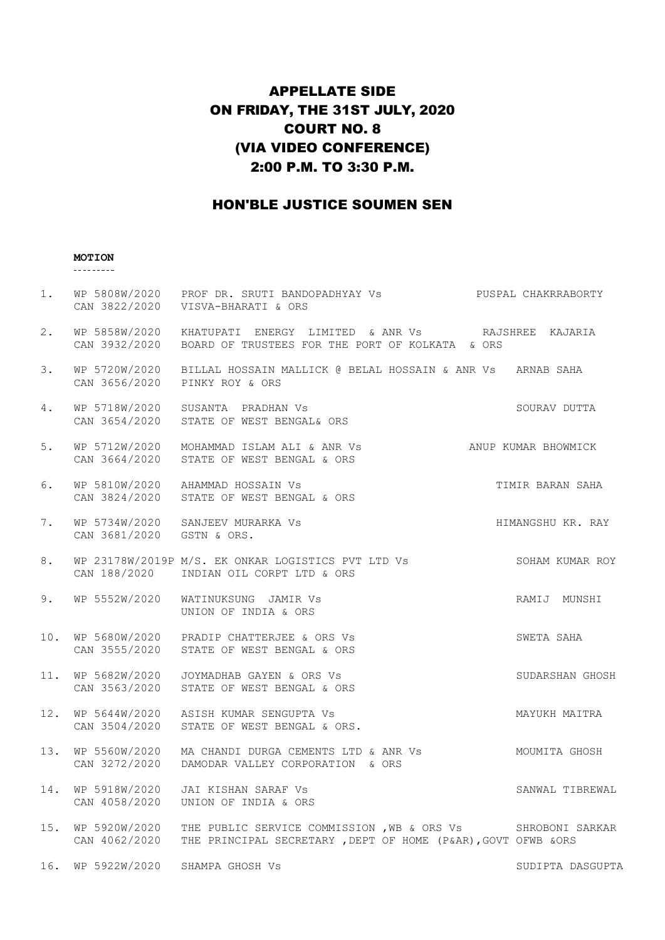# APPELLATE SIDE ON FRIDAY, THE 31ST JULY, 2020 COURT NO. 8 (VIA VIDEO CONFERENCE) 2:00 P.M. TO 3:30 P.M.

### HON'BLE JUSTICE SOUMEN SEN

# **MOTION**

| 1.  |                                | WP 5808W/2020 PROF DR. SRUTI BANDOPADHYAY Vs<br>CAN 3822/2020 VISVA-BHARATI & ORS                                                 | PUSPAL CHAKRRABORTY |
|-----|--------------------------------|-----------------------------------------------------------------------------------------------------------------------------------|---------------------|
| 2.  |                                | WP 5858W/2020 KHATUPATI ENERGY LIMITED & ANR Vs BAJSHREE KAJARIA<br>CAN 3932/2020 BOARD OF TRUSTEES FOR THE PORT OF KOLKATA & ORS |                     |
| 3.  |                                | WP 5720W/2020 BILLAL HOSSAIN MALLICK @ BELAL HOSSAIN & ANR Vs ARNAB SAHA<br>CAN 3656/2020 PINKY ROY & ORS                         |                     |
| 4.  |                                | WP 5718W/2020 SUSANTA PRADHAN Vs<br>CAN 3654/2020 STATE OF WEST BENGAL& ORS                                                       | SOURAV DUTTA        |
| 5.  |                                | WP 5712W/2020 MOHAMMAD ISLAM ALI & ANR Vs ANUP KUMAR BHOWMICK<br>CAN 3664/2020 STATE OF WEST BENGAL & ORS                         |                     |
| 6.  |                                | WP 5810W/2020 AHAMMAD HOSSAIN Vs<br>CAN 3824/2020 STATE OF WEST BENGAL & ORS                                                      | TIMIR BARAN SAHA    |
| 7.  | CAN 3681/2020 GSTN & ORS.      | HIMANGSHU KR. RAY<br>WP 5734W/2020 SANJEEV MURARKA Vs                                                                             |                     |
| 8.  |                                | WP 23178W/2019P M/S. EK ONKAR LOGISTICS PVT LTD Vs<br>CAN 188/2020 INDIAN OIL CORPT LTD & ORS                                     | SOHAM KUMAR ROY     |
| 9.  |                                | WP 5552W/2020 WATINUKSUNG JAMIR Vs<br>UNION OF INDIA & ORS                                                                        | RAMIJ MUNSHI        |
| 10. |                                | WP 5680W/2020 PRADIP CHATTERJEE & ORS Vs<br>CAN 3555/2020 STATE OF WEST BENGAL & ORS                                              | SWETA SAHA          |
|     | CAN 3563/2020                  | 11. WP 5682W/2020  JOYMADHAB GAYEN & ORS Vs<br>STATE OF WEST BENGAL & ORS                                                         | SUDARSHAN GHOSH     |
| 12. |                                | WP 5644W/2020 ASISH KUMAR SENGUPTA Vs<br>CAN 3504/2020 STATE OF WEST BENGAL & ORS.                                                | MAYUKH MAITRA       |
| 13. |                                | WP 5560W/2020 MA CHANDI DURGA CEMENTS LTD & ANR Vs<br>CAN 3272/2020 DAMODAR VALLEY CORPORATION & ORS                              | MOUMITA GHOSH       |
| 14. | CAN 4058/2020                  | WP 5918W/2020 JAI KISHAN SARAF Vs<br>UNION OF INDIA & ORS                                                                         | SANWAL TIBREWAL     |
| 15. | WP 5920W/2020<br>CAN 4062/2020 | THE PUBLIC SERVICE COMMISSION , WB & ORS Vs SHROBONI SARKAR<br>THE PRINCIPAL SECRETARY , DEPT OF HOME (P&AR), GOVT OFWB &ORS      |                     |
| 16. | WP 5922W/2020 SHAMPA GHOSH Vs  |                                                                                                                                   | SUDIPTA DASGUPTA    |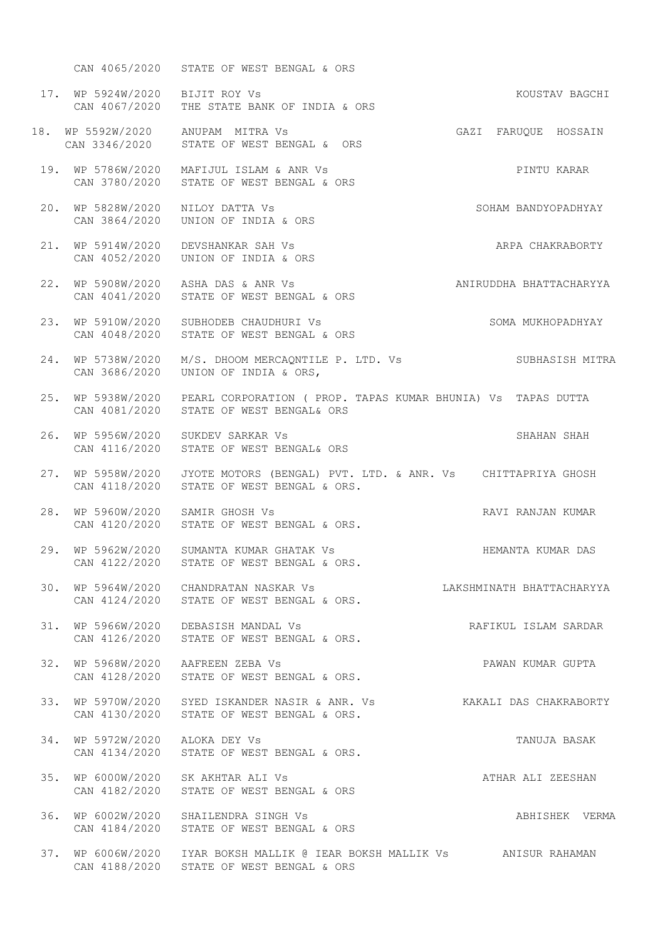CAN 4065/2020 STATE OF WEST BENGAL & ORS 17. WP 5924W/2020 BIJIT ROY Vs **KOUSTAV BAGCHI** CAN 4067/2020 THE STATE BANK OF INDIA & ORS 18. WP 5592W/2020 CAN 3346/2020 19. WP 5786W/2020 MAFIJUL ISLAM & ANR Vs PINTU KARAR CAN 3780/2020 STATE OF WEST BENGAL & ORS 20. WP 5828W/2020 NILOY DATTA Vs SOHAM BANDYOPADHYAY CAN 3864/2020 UNION OF INDIA & ORS 21. WP 5914W/2020 DEVSHANKAR SAH Vs ARPA CHAKRABORTY CAN 4052/2020 UNION OF INDIA & ORS 22. WP 5908W/2020 ASHA DAS & ANR Vs ANIRUDDHA BHATTACHARYYA CAN 4041/2020 STATE OF WEST BENGAL & ORS 23. WP 5910W/2020 SUBHODEB CHAUDHURI Vs SOMA MUKHOPADHYAY CAN 4048/2020 STATE OF WEST BENGAL & ORS 24. WP 5738W/2020 M/S. DHOOM MERCAQNTILE P. LTD. Vs SUBHASISH MITRA CAN 3686/2020 UNION OF INDIA & ORS, 25. WP 5938W/2020 PEARL CORPORATION ( PROP. TAPAS KUMAR BHUNIA) Vs TAPAS DUTTA CAN 4081/2020 STATE OF WEST BENGAL& ORS 26. WP 5956W/2020 SUKDEV SARKAR Vs SHAHAN SHAHAN SHAH CAN 4116/2020 STATE OF WEST BENGAL& ORS 27. WP 5958W/2020 JYOTE MOTORS (BENGAL) PVT. LTD. & ANR. Vs CHITTAPRIYA GHOSH CAN 4118/2020 STATE OF WEST BENGAL & ORS. 28. WP 5960W/2020 SAMIR GHOSH Vs RAVI RAVI RANJAN KUMAR CAN 4120/2020 STATE OF WEST BENGAL & ORS. 29. WP 5962W/2020 SUMANTA KUMAR GHATAK Vs **HEMANTA KUMAR DAS** CAN 4122/2020 STATE OF WEST BENGAL & ORS. 30. WP 5964W/2020 CHANDRATAN NASKAR Vs LAKSHMINATH BHATTACHARYYA CAN 4124/2020 STATE OF WEST BENGAL & ORS. 31. WP 5966W/2020 DEBASISH MANDAL Vs Same Control of RAFIKUL ISLAM SARDAR CAN 4126/2020 STATE OF WEST BENGAL & ORS. 32. WP 5968W/2020 AAFREEN ZEBA Vs PAWAN KUMAR GUPTA CAN 4128/2020 STATE OF WEST BENGAL & ORS. 33. WP 5970W/2020 SYED ISKANDER NASIR & ANR. Vs KAKALI DAS CHAKRABORTY CAN 4130/2020 STATE OF WEST BENGAL & ORS. 34. WP 5972W/2020 ALOKA DEY Vs TANUJA BASAK CAN 4134/2020 STATE OF WEST BENGAL & ORS. 35. WP 6000W/2020 SK AKHTAR ALI Vs ATHAR ALI ZEESHAN CAN 4182/2020 STATE OF WEST BENGAL & ORS 36. WP 6002W/2020 SHAILENDRA SINGH Vs ABHISHEK VERMA CAN 4184/2020 STATE OF WEST BENGAL & ORS 37. WP 6006W/2020 IYAR BOKSH MALLIK @ IEAR BOKSH MALLIK Vs ANISUR RAHAMAN CAN 4188/2020 STATE OF WEST BENGAL & ORS GAZI FARUQUE HOSSAIN STATE OF WEST BENGAL & ORS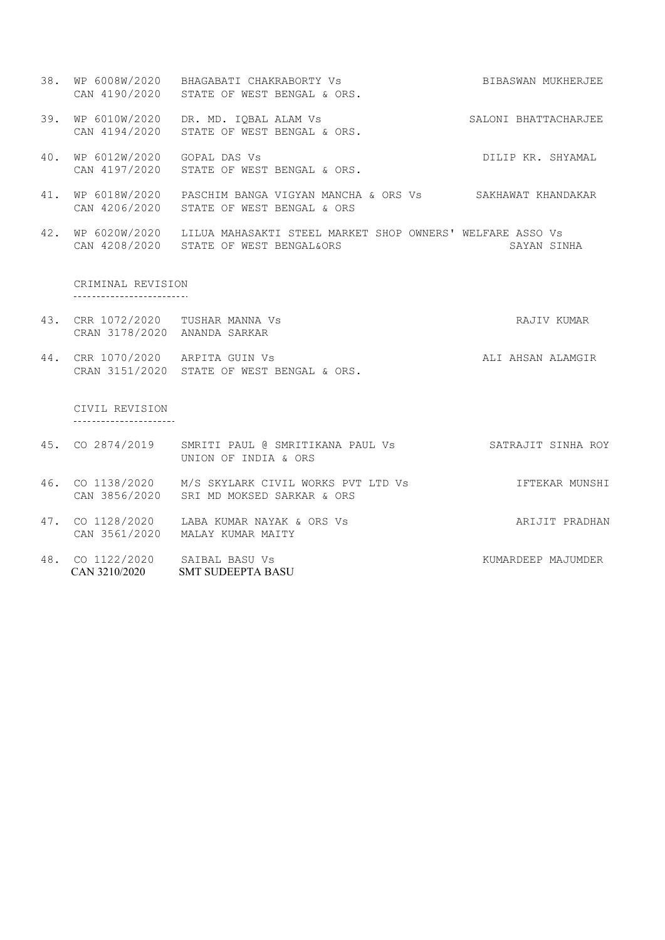- 38. WP 6008W/2020 BHAGABATI CHAKRABORTY Vs BIBASWAN MUKHERJEE CAN 4190/2020 STATE OF WEST BENGAL & ORS.
- 39. WP 6010W/2020 DR. MD. IQBAL ALAM Vs SALONI BHATTACHARJEE CAN 4194/2020 STATE OF WEST BENGAL & ORS.
- 40. WP 6012W/2020 GOPAL DAS Vs Show CORP CONSERVED BELLE RR. SHYAMAL CAN 4197/2020 STATE OF WEST BENGAL & ORS.
- 41. WP 6018W/2020 PASCHIM BANGA VIGYAN MANCHA & ORS Vs SAKHAWAT KHANDAKAR CAN 4206/2020 STATE OF WEST BENGAL & ORS
- 42. WP 6020W/2020 LILUA MAHASAKTI STEEL MARKET SHOP OWNERS' WELFARE ASSO Vs CAN 4208/2020 STATE OF WEST BENGAL&ORS SAYAN SINHA

CRIMINAL REVISION \_\_\_\_\_\_\_\_\_\_\_\_\_\_\_\_\_\_\_\_\_\_\_\_\_\_\_\_

- 43. CRR 1072/2020 TUSHAR MANNA Vs RAJIV KUMAR CRAN 3178/2020 ANANDA SARKAR
- 44. CRR 1070/2020 ARPITA GUIN Vs **ALI AHSAN ALAMGIR** CRAN 3151/2020 STATE OF WEST BENGAL & ORS.

CIVIL REVISION

- 45. CO 2874/2019 SMRITI PAUL @ SMRITIKANA PAUL Vs SATRAJIT SINHA ROY UNION OF INDIA & ORS
- 46. CO 1138/2020 M/S SKYLARK CIVIL WORKS PVT LTD Vs IFTEKAR MUNSHI CAN 3856/2020 SRI MD MOKSED SARKAR & ORS
- 47. CO 1128/2020 LABA KUMAR NAYAK & ORS Vs ARIJIT PRADHAN CAN 3561/2020 MALAY KUMAR MAITY
- 48. CO 1122/2020 SAIBAL BASU Vs KUMARDEEP MAJUMDER CAN 3210/2020 SMT SUDEEPTA BASU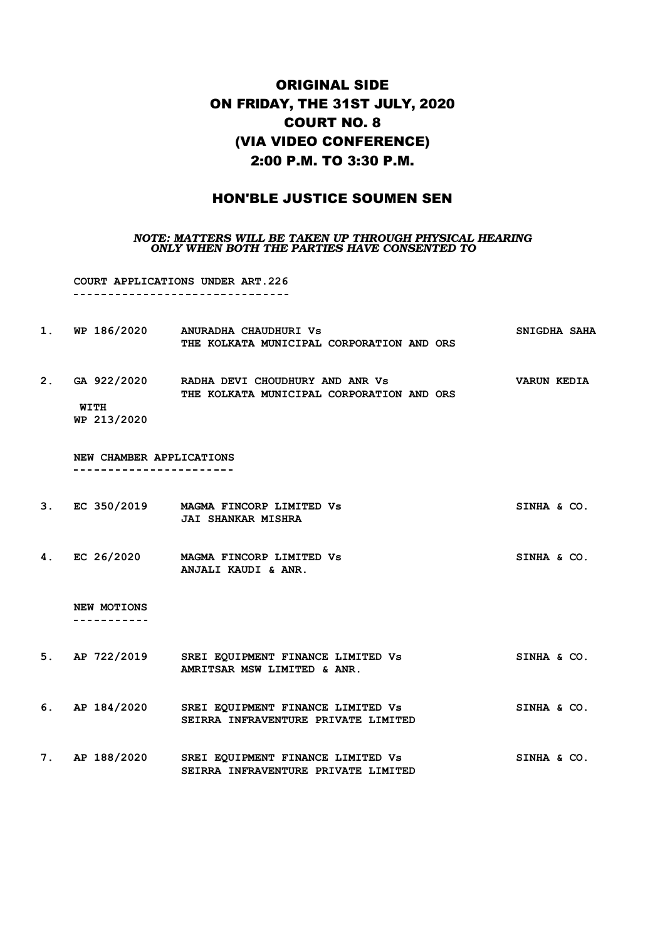### ORIGINAL SIDE ON FRIDAY, THE 31ST JULY, 2020 COURT NO. 8 (VIA VIDEO CONFERENCE) 2:00 P.M. TO 3:30 P.M.

### HON'BLE JUSTICE SOUMEN SEN

#### *NOTE: MATTERS WILL BE TAKEN UP THROUGH PHYSICAL HEARING ONLY WHEN BOTH THE PARTIES HAVE CONSENTED TO*

**COURT APPLICATIONS UNDER ART.226 1. WP 186/2020 ANURADHA CHAUDHURI Vs SNIGDHA SAHA THE KOLKATA MUNICIPAL CORPORATION AND ORS 2. GA 922/2020 RADHA DEVI CHOUDHURY AND ANR Vs VARUN KEDIA THE KOLKATA MUNICIPAL CORPORATION AND ORS WITH WP 213/2020 NEW CHAMBER APPLICATIONS** \_\_\_\_\_\_\_\_\_\_\_\_\_\_\_\_\_\_\_\_\_\_\_\_ **3. EC 350/2019 MAGMA FINCORP LIMITED Vs SINHA & CO. JAI SHANKAR MISHRA 4. EC 26/2020 MAGMA FINCORP LIMITED Vs SINHA & CO. ANJALI KAUDI & ANR. NEW MOTIONS** -----------**5. AP 722/2019 SREI EQUIPMENT FINANCE LIMITED Vs SINHA & CO. AMRITSAR MSW LIMITED & ANR. 6. AP 184/2020 SREI EQUIPMENT FINANCE LIMITED Vs SINHA & CO.**

**7. AP 188/2020 SREI EQUIPMENT FINANCE LIMITED Vs SINHA & CO. SEIRRA INFRAVENTURE PRIVATE LIMITED**

**SEIRRA INFRAVENTURE PRIVATE LIMITED**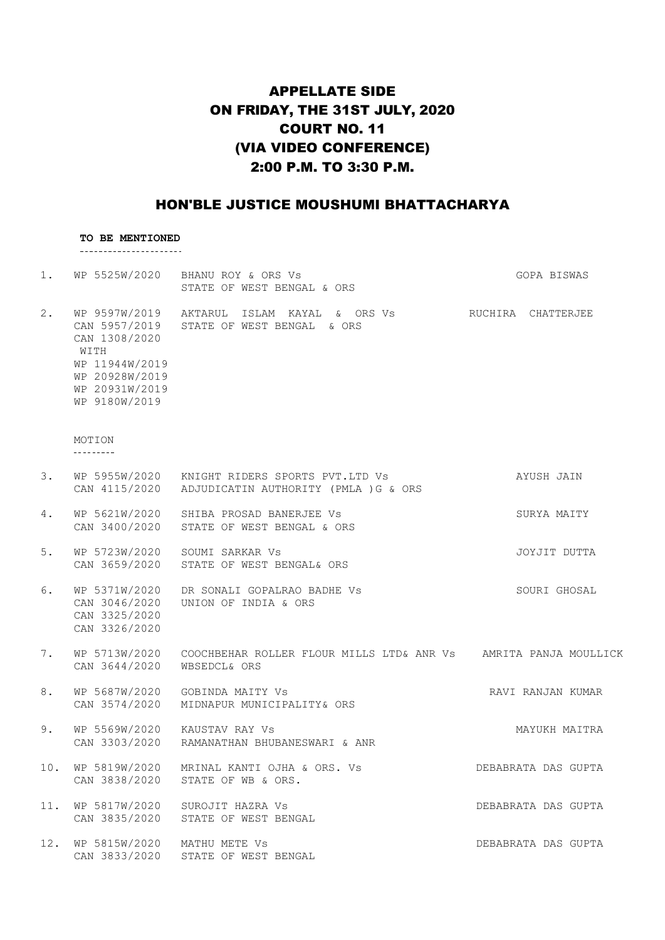# APPELLATE SIDE ON FRIDAY, THE 31ST JULY, 2020 COURT NO. 11 (VIA VIDEO CONFERENCE) 2:00 P.M. TO 3:30 P.M.

### HON'BLE JUSTICE MOUSHUMI BHATTACHARYA

# **TO BE MENTIONED**

| 1.  |                                                                                              | WP 5525W/2020 BHANU ROY & ORS Vs<br>STATE OF WEST BENGAL & ORS                                             | GOPA BISWAS         |
|-----|----------------------------------------------------------------------------------------------|------------------------------------------------------------------------------------------------------------|---------------------|
| 2.  | CAN 1308/2020<br>WITH<br>WP 11944W/2019<br>WP 20928W/2019<br>WP 20931W/2019<br>WP 9180W/2019 | WP 9597W/2019 AKTARUL ISLAM KAYAL & ORS Vs SHUCHIRA CHATTERJEE<br>CAN 5957/2019 STATE OF WEST BENGAL & ORS |                     |
|     | MOTION<br>---------                                                                          |                                                                                                            |                     |
| 3.  |                                                                                              | WP 5955W/2020 KNIGHT RIDERS SPORTS PVT.LTD Vs<br>CAN 4115/2020 ADJUDICATIN AUTHORITY (PMLA ) G & ORS       | AYUSH JAIN          |
| 4.  | CAN 3400/2020                                                                                | WP 5621W/2020 SHIBA PROSAD BANERJEE Vs<br>STATE OF WEST BENGAL & ORS                                       | SURYA MAITY         |
| 5.  | CAN 3659/2020                                                                                | WP 5723W/2020 SOUMI SARKAR Vs<br>STATE OF WEST BENGAL& ORS                                                 | JOYJIT DUTTA        |
| 6.  | CAN 3046/2020<br>CAN 3325/2020<br>CAN 3326/2020                                              | WP 5371W/2020 DR SONALI GOPALRAO BADHE Vs<br>UNION OF INDIA & ORS                                          | SOURI GHOSAL        |
| 7.  | CAN 3644/2020                                                                                | WP 5713W/2020 COOCHBEHAR ROLLER FLOUR MILLS LTD& ANR Vs AMRITA PANJA MOULLICK<br>WBSEDCL& ORS              |                     |
| 8.  | CAN 3574/2020                                                                                | WP 5687W/2020 GOBINDA MAITY Vs<br>MIDNAPUR MUNICIPALITY& ORS                                               | RAVI RANJAN KUMAR   |
| 9.  | WP 5569W/2020 KAUSTAV RAY Vs                                                                 | CAN 3303/2020 RAMANATHAN BHUBANESWARI & ANR                                                                | MAYUKH MAITRA       |
| 10. | WP 5819W/2020<br>CAN 3838/2020                                                               | MRINAL KANTI OJHA & ORS. Vs<br>STATE OF WB & ORS.                                                          | DEBABRATA DAS GUPTA |
| 11. | WP 5817W/2020<br>CAN 3835/2020                                                               | SUROJIT HAZRA Vs<br>STATE OF WEST BENGAL                                                                   | DEBABRATA DAS GUPTA |
| 12. | WP 5815W/2020                                                                                | MATHU METE VS<br>CAN 3833/2020 STATE OF WEST BENGAL                                                        | DEBABRATA DAS GUPTA |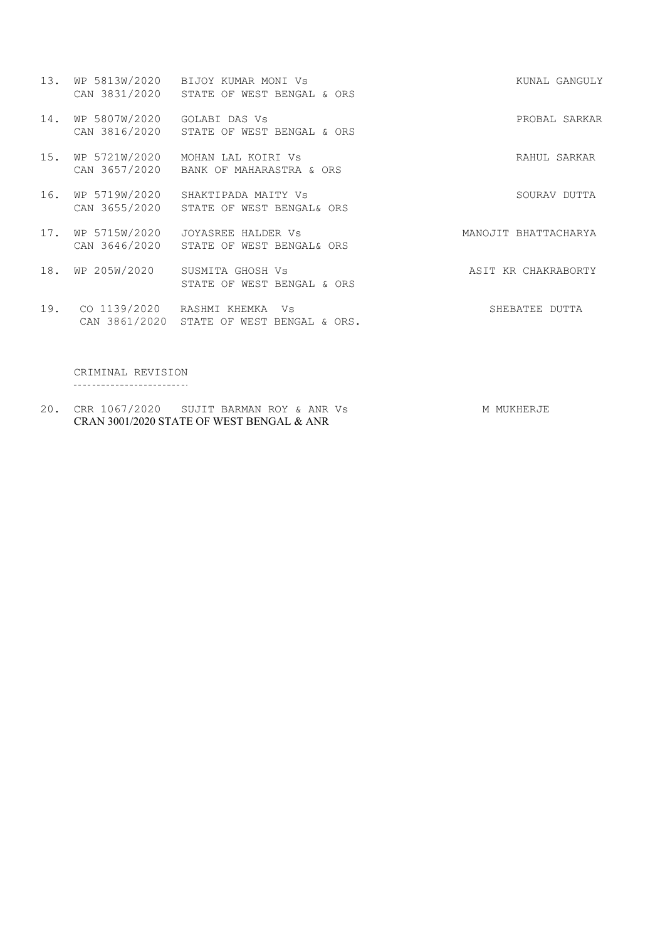|     |                             | 13. WP 5813W/2020 BIJOY KUMAR MONI Vs<br>CAN 3831/2020 STATE OF WEST BENGAL & ORS | KUNAL GANGULY        |
|-----|-----------------------------|-----------------------------------------------------------------------------------|----------------------|
| 14. | WP 5807W/2020 GOLABI DAS Vs | CAN 3816/2020 STATE OF WEST BENGAL & ORS                                          | PROBAL SARKAR        |
| 15. | WP 5721W/2020               | MOHAN LAL KOIRI Vs<br>CAN 3657/2020 BANK OF MAHARASTRA & ORS                      | RAHUL SARKAR         |
|     |                             | 16. WP 5719W/2020 SHAKTIPADA MAITY Vs<br>CAN 3655/2020 STATE OF WEST BENGAL& ORS  | SOURAV DUTTA         |
| 17. |                             | WP 5715W/2020 JOYASREE HALDER Vs<br>CAN 3646/2020 STATE OF WEST BENGAL& ORS       | MANOJIT BHATTACHARYA |
| 18. |                             | WP 205W/2020 SUSMITA GHOSH Vs<br>STATE OF WEST BENGAL & ORS                       | ASIT KR CHAKRABORTY  |
| 19. | CO 1139/2020 RASHMI KHEMKA  | Vs<br>CAN 3861/2020 STATE OF WEST BENGAL & ORS.                                   | SHEBATEE<br>DUTTA    |

CRIMINAL REVISION

20. CRR 1067/2020 SUJIT BARMAN ROY & ANR Vs MONTHERJE CRAN 3001/2020 STATE OF WEST BENGAL & ANR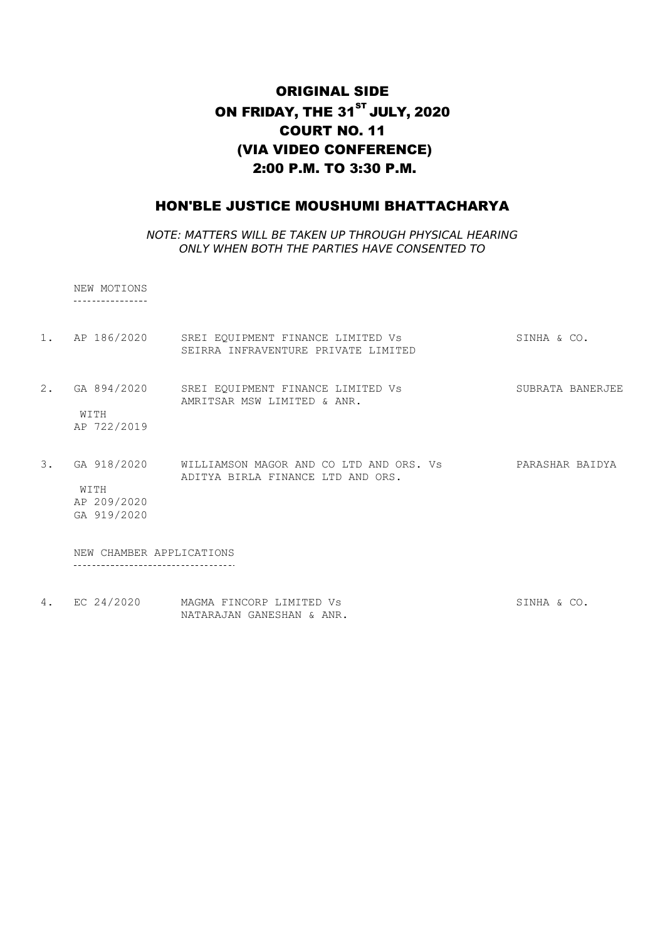## ORIGINAL SIDE ON FRIDAY, THE 31<sup>ST</sup> JULY, 2020 COURT NO. 11 (VIA VIDEO CONFERENCE) 2:00 P.M. TO 3:30 P.M.

### HON'BLE JUSTICE MOUSHUMI BHATTACHARYA

NOTE: MATTERS WILL BE TAKEN UP THROUGH PHYSICAL HEARING ONLY WHEN BOTH THE PARTIES HAVE CONSENTED TO

NEW MOTIONS

1. AP 186/2020 SREI EQUIPMENT FINANCE LIMITED Vs SINHA & CO. SEIRRA INFRAVENTURE PRIVATE LIMITED 2. GA 894/2020 SREI EQUIPMENT FINANCE LIMITED Vs SUBRATA BANERJEE AMRITSAR MSW LIMITED & ANR. WITH AP 722/2019 3. GA 918/2020 WILLIAMSON MAGOR AND CO LTD AND ORS. Vs PARASHAR BAIDYA ADITYA BIRLA FINANCE LTD AND ORS. WITH AP 209/2020

GA 919/2020

NEW CHAMBER APPLICATIONS -------------------------------------

4. EC 24/2020 MAGMA FINCORP LIMITED Vs SINHA & CO. NATARAJAN GANESHAN & ANR.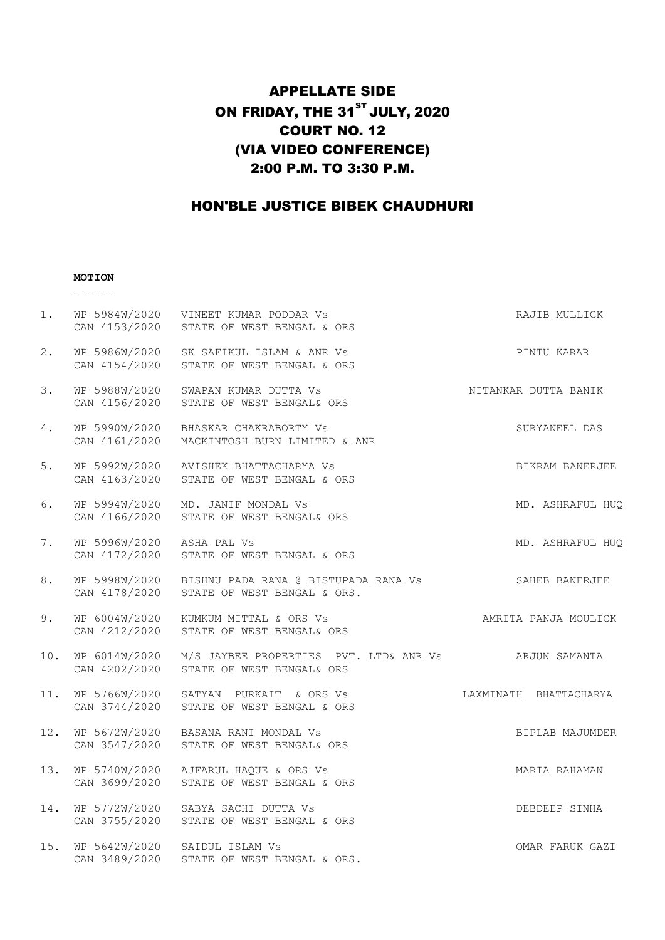# APPELLATE SIDE ON FRIDAY, THE  $31<sup>ST</sup>$  JULY, 2020 COURT NO. 12 (VIA VIDEO CONFERENCE) 2:00 P.M. TO 3:30 P.M.

# HON'BLE JUSTICE BIBEK CHAUDHURI

#### **MOTION**

<u> 22222222</u>

| 1.  |                                | WP 5984W/2020 VINEET KUMAR PODDAR Vs<br>CAN 4153/2020 STATE OF WEST BENGAL & ORS                 | RAJIB MULLICK          |
|-----|--------------------------------|--------------------------------------------------------------------------------------------------|------------------------|
| 2.  |                                | WP 5986W/2020 SK SAFIKUL ISLAM & ANR Vs<br>CAN 4154/2020 STATE OF WEST BENGAL & ORS              | PINTU KARAR            |
| 3.  | WP 5988W/2020<br>CAN 4156/2020 | SWAPAN KUMAR DUTTA Vs<br>STATE OF WEST BENGAL& ORS                                               | NITANKAR DUTTA BANIK   |
| 4.  | WP 5990W/2020<br>CAN 4161/2020 | BHASKAR CHAKRABORTY Vs<br>MACKINTOSH BURN LIMITED & ANR                                          | SURYANEEL DAS          |
| 5.  | WP 5992W/2020                  | AVISHEK BHATTACHARYA Vs<br>CAN 4163/2020 STATE OF WEST BENGAL & ORS                              | BIKRAM BANERJEE        |
| 6.  | WP 5994W/2020<br>CAN 4166/2020 | MD. JANIF MONDAL Vs<br>STATE OF WEST BENGAL& ORS                                                 | MD. ASHRAFUL HUQ       |
| 7.  | WP 5996W/2020 ASHA PAL Vs      | CAN 4172/2020 STATE OF WEST BENGAL & ORS                                                         | MD. ASHRAFUL HUQ       |
| 8.  | CAN 4178/2020                  | WP 5998W/2020 BISHNU PADA RANA @ BISTUPADA RANA Vs SAHEB BANERJEE<br>STATE OF WEST BENGAL & ORS. |                        |
| 9.  | CAN 4212/2020                  | WP 6004W/2020 KUMKUM MITTAL & ORS Vs<br>STATE OF WEST BENGAL& ORS                                | AMRITA PANJA MOULICK   |
| 10. | CAN 4202/2020                  | WP 6014W/2020 M/S JAYBEE PROPERTIES PVT. LTD& ANR Vs ARJUN SAMANTA<br>STATE OF WEST BENGAL& ORS  |                        |
|     |                                | 11. WP 5766W/2020 SATYAN PURKAIT & ORS Vs<br>CAN 3744/2020 STATE OF WEST BENGAL & ORS            | LAXMINATH BHATTACHARYA |
| 12. |                                | WP 5672W/2020 BASANA RANI MONDAL Vs<br>CAN 3547/2020 STATE OF WEST BENGAL& ORS                   | BIPLAB MAJUMDER        |
| 13. | CAN 3699/2020                  | WP 5740W/2020 AJFARUL HAQUE & ORS Vs<br>STATE OF WEST BENGAL & ORS                               | MARIA RAHAMAN          |
| 14. |                                | WP 5772W/2020 SABYA SACHI DUTTA Vs<br>CAN 3755/2020 STATE OF WEST BENGAL & ORS                   | DEBDEEP SINHA          |
| 15. | CAN 3489/2020                  | WP 5642W/2020 SAIDUL ISLAM Vs<br>STATE OF WEST BENGAL & ORS.                                     | OMAR FARUK GAZI        |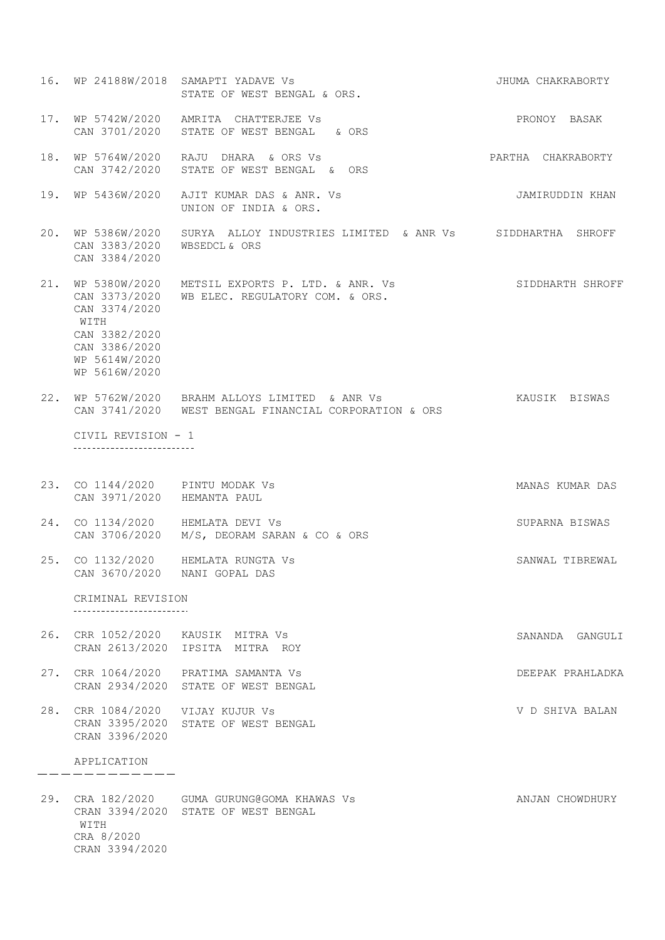16. WP 24188W/2018 SAMAPTI YADAVE Vs JHUMA CHAKRABORTY STATE OF WEST BENGAL & ORS. 17. WP 5742W/2020 AMRITA CHATTERJEE Vs PRONOY BASAK CAN 3701/2020 STATE OF WEST BENGAL & ORS 18. WP 5764W/2020 RAJU DHARA & ORS Vs **PARTHA CHAKRABORTY** CAN 3742/2020 STATE OF WEST BENGAL & ORS 19. WP 5436W/2020 AJIT KUMAR DAS & ANR. Vs JAMIRUDDIN KHAN UNION OF INDIA & ORS. 20. WP 5386W/2020 SURYA ALLOY INDUSTRIES LIMITED & ANR Vs SIDDHARTHA SHROFF CAN 3383/2020 WBSEDCL & ORS CAN 3384/2020 21. WP 5380W/2020 METSIL EXPORTS P. LTD. & ANR. Vs SIDDHARTH SHROFF CAN 3373/2020 WB ELEC. REGULATORY COM. & ORS. CAN 3374/2020 WITH CAN 3382/2020 CAN 3386/2020 WP 5614W/2020 WP 5616W/2020 22. WP 5762W/2020 BRAHM ALLOYS LIMITED & ANR Vs KAUSIK BISWAS CAN 3741/2020 WEST BENGAL FINANCIAL CORPORATION & ORS CIVIL REVISION - 1 ---------------------------23. CO 1144/2020 PINTU MODAK Vs MANAS KUMAR DAS CAN 3971/2020 HEMANTA PAUL 24. CO 1134/2020 HEMLATA DEVI Vs SUPARNA BISWAS CAN 3706/2020 M/S, DEORAM SARAN & CO & ORS 25. CO 1132/2020 HEMLATA RUNGTA Vs SANWAL TIBREWAL CAN 3670/2020 NANI GOPAL DAS CRIMINAL REVISION \_\_\_\_\_\_\_\_\_\_\_\_\_\_\_\_\_\_\_\_\_\_\_\_\_\_\_ 26. CRR 1052/2020 KAUSIK MITRA Vs SANANDA GANGULI CRAN 2613/2020 IPSITA MITRA ROY 27. CRR 1064/2020 PRATIMA SAMANTA Vs DEEPAK PRAHLADKA CRAN 2934/2020 STATE OF WEST BENGAL 28. CRR 1084/2020 VIJAY KUJUR Vs V D SHIVA BALAN CRAN 3395/2020 STATE OF WEST BENGAL CRAN 3396/2020 APPLICATION -------------29. CRA 182/2020 GUMA GURUNG@GOMA KHAWAS ANJAN CHOWDHURY CRAN 3394/2020 STATE OF WEST BENGAL WITH CRA 8/2020 CRAN 3394/2020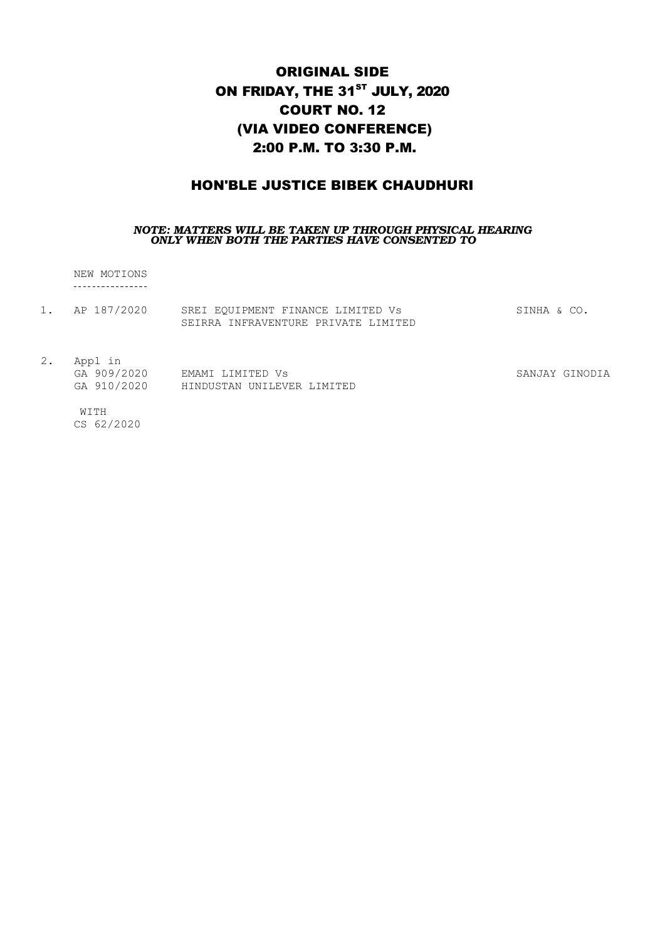# ORIGINAL SIDE ON FRIDAY, THE 31<sup>ST</sup> JULY, 2020 COURT NO. 12 (VIA VIDEO CONFERENCE) 2:00 P.M. TO 3:30 P.M.

### HON'BLE JUSTICE BIBEK CHAUDHURI

#### *NOTE: MATTERS WILL BE TAKEN UP THROUGH PHYSICAL HEARING ONLY WHEN BOTH THE PARTIES HAVE CONSENTED TO*

NEW MOTIONS

| AP 187/2020 | SREI EQUIPMENT FINANCE LIMITED Vs   | SINHA & CO |
|-------------|-------------------------------------|------------|
|             | SEIRRA INFRAVENTURE PRIVATE LIMITED |            |

2. Appl in

GA 909/2020 EMAMI LIMITED Vs GA 910/2020 HINDUSTAN UNILEVER LIMITED SANJAY GINODIA

WITH CS 62/2020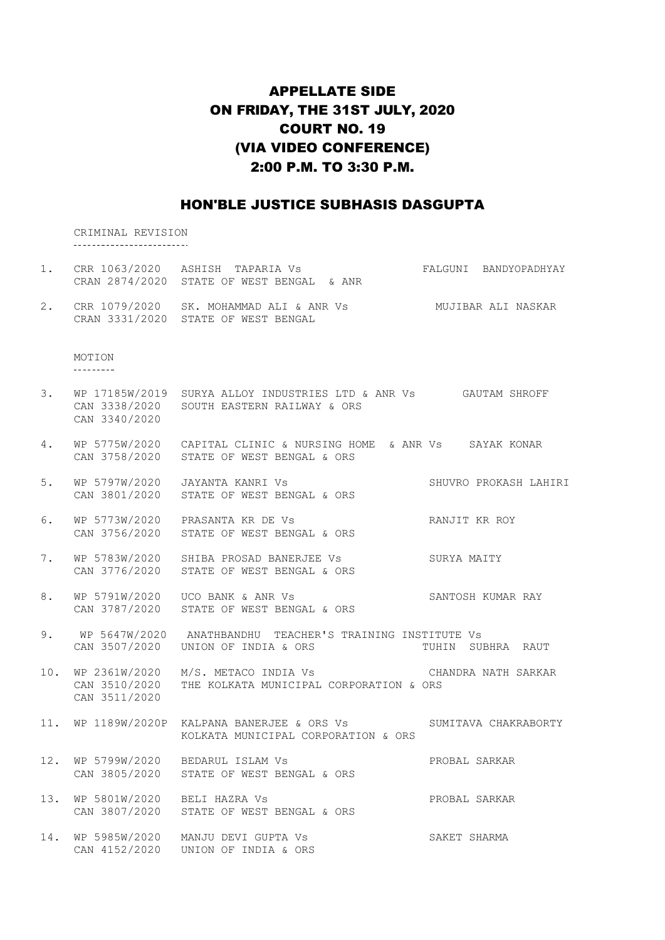# APPELLATE SIDE ON FRIDAY, THE 31ST JULY, 2020 COURT NO. 19 (VIA VIDEO CONFERENCE) 2:00 P.M. TO 3:30 P.M.

### HON'BLE JUSTICE SUBHASIS DASGUPTA

CRIMINAL REVISION

| 1.  |                                                 | CRR 1063/2020 ASHISH TAPARIA Vs<br>CRAN 2874/2020 STATE OF WEST BENGAL & ANR                                  | FALGUNI BANDYOPADHYAY |
|-----|-------------------------------------------------|---------------------------------------------------------------------------------------------------------------|-----------------------|
| 2.  |                                                 | CRR 1079/2020 SK. MOHAMMAD ALI & ANR Vs<br>CRAN 3331/2020 STATE OF WEST BENGAL                                | MUJIBAR ALI NASKAR    |
|     | MOTION<br>---------                             |                                                                                                               |                       |
| 3.  | CAN 3340/2020                                   | WP 17185W/2019 SURYA ALLOY INDUSTRIES LTD & ANR Vs GAUTAM SHROFF<br>CAN 3338/2020 SOUTH EASTERN RAILWAY & ORS |                       |
| 4.  |                                                 | WP 5775W/2020 CAPITAL CLINIC & NURSING HOME & ANR Vs SAYAK KONAR<br>CAN 3758/2020 STATE OF WEST BENGAL & ORS  |                       |
| 5.  | WP 5797W/2020<br>CAN 3801/2020                  | JAYANTA KANRI VS<br>STATE OF WEST BENGAL & ORS                                                                | SHUVRO PROKASH LAHIRI |
| 6.  | CAN 3756/2020                                   | WP 5773W/2020 PRASANTA KR DE Vs<br>STATE OF WEST BENGAL & ORS                                                 | RANJIT KR ROY         |
| 7.  |                                                 | WP 5783W/2020 SHIBA PROSAD BANERJEE Vs<br>CAN 3776/2020 STATE OF WEST BENGAL & ORS                            | SURYA MAITY           |
| 8.  |                                                 | WP 5791W/2020    UCO BANK & ANR Vs<br>CAN 3787/2020 STATE OF WEST BENGAL & ORS                                | SANTOSH KUMAR RAY     |
| 9.  | CAN 3507/2020                                   | WP 5647W/2020 ANATHBANDHU TEACHER'S TRAINING INSTITUTE Vs<br>UNION OF INDIA & ORS                             | TUHIN<br>SUBHRA RAUT  |
| 10. | WP 2361W/2020<br>CAN 3510/2020<br>CAN 3511/2020 | M/S. METACO INDIA Vs<br>THE KOLKATA MUNICIPAL CORPORATION & ORS                                               | CHANDRA NATH SARKAR   |
| 11. |                                                 | WP 1189W/2020P KALPANA BANERJEE & ORS Vs<br>KOLKATA MUNICIPAL CORPORATION & ORS                               | SUMITAVA CHAKRABORTY  |
| 12. | WP 5799W/2020<br>CAN 3805/2020                  | BEDARUL ISLAM Vs<br>STATE OF WEST BENGAL & ORS                                                                | PROBAL SARKAR         |
| 13. | WP 5801W/2020<br>CAN 3807/2020                  | BELI HAZRA VS<br>STATE OF WEST BENGAL & ORS                                                                   | PROBAL SARKAR         |
| 14. | WP 5985W/2020<br>CAN 4152/2020                  | MANJU DEVI GUPTA VS<br>UNION OF INDIA & ORS                                                                   | SAKET SHARMA          |